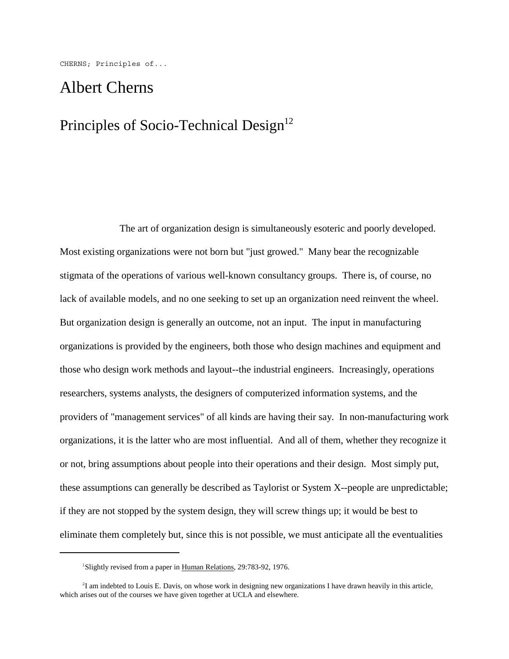## Albert Cherns

# Principles of Socio-Technical Design<sup>12</sup>

The art of organization design is simultaneously esoteric and poorly developed. Most existing organizations were not born but "just growed." Many bear the recognizable stigmata of the operations of various well-known consultancy groups. There is, of course, no lack of available models, and no one seeking to set up an organization need reinvent the wheel. But organization design is generally an outcome, not an input. The input in manufacturing organizations is provided by the engineers, both those who design machines and equipment and those who design work methods and layout--the industrial engineers. Increasingly, operations researchers, systems analysts, the designers of computerized information systems, and the providers of "management services" of all kinds are having their say. In non-manufacturing work organizations, it is the latter who are most influential. And all of them, whether they recognize it or not, bring assumptions about people into their operations and their design. Most simply put, these assumptions can generally be described as Taylorist or System X--people are unpredictable; if they are not stopped by the system design, they will screw things up; it would be best to eliminate them completely but, since this is not possible, we must anticipate all the eventualities

<sup>&</sup>lt;sup>1</sup>Slightly revised from a paper in Human Relations, 29:783-92, 1976.

<sup>&</sup>lt;sup>2</sup>I am indebted to Louis E. Davis, on whose work in designing new organizations I have drawn heavily in this article, which arises out of the courses we have given together at UCLA and elsewhere.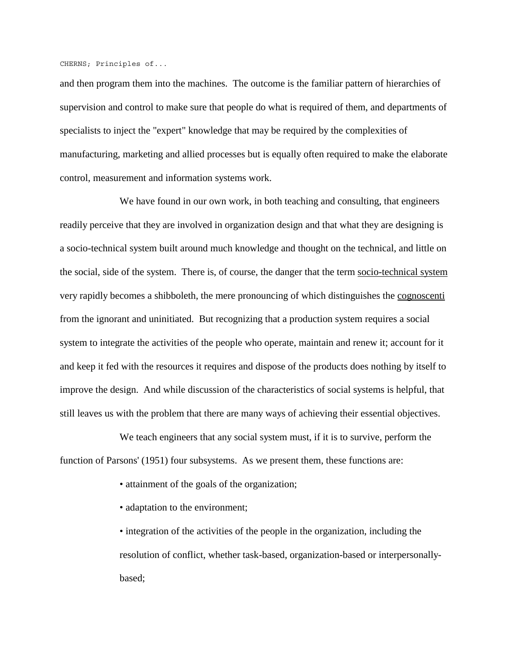and then program them into the machines. The outcome is the familiar pattern of hierarchies of supervision and control to make sure that people do what is required of them, and departments of specialists to inject the "expert" knowledge that may be required by the complexities of manufacturing, marketing and allied processes but is equally often required to make the elaborate control, measurement and information systems work.

We have found in our own work, in both teaching and consulting, that engineers readily perceive that they are involved in organization design and that what they are designing is a socio-technical system built around much knowledge and thought on the technical, and little on the social, side of the system. There is, of course, the danger that the term socio-technical system very rapidly becomes a shibboleth, the mere pronouncing of which distinguishes the cognoscenti from the ignorant and uninitiated. But recognizing that a production system requires a social system to integrate the activities of the people who operate, maintain and renew it; account for it and keep it fed with the resources it requires and dispose of the products does nothing by itself to improve the design. And while discussion of the characteristics of social systems is helpful, that still leaves us with the problem that there are many ways of achieving their essential objectives.

We teach engineers that any social system must, if it is to survive, perform the function of Parsons' (1951) four subsystems. As we present them, these functions are:

- attainment of the goals of the organization;
- adaptation to the environment;

• integration of the activities of the people in the organization, including the resolution of conflict, whether task-based, organization-based or interpersonallybased;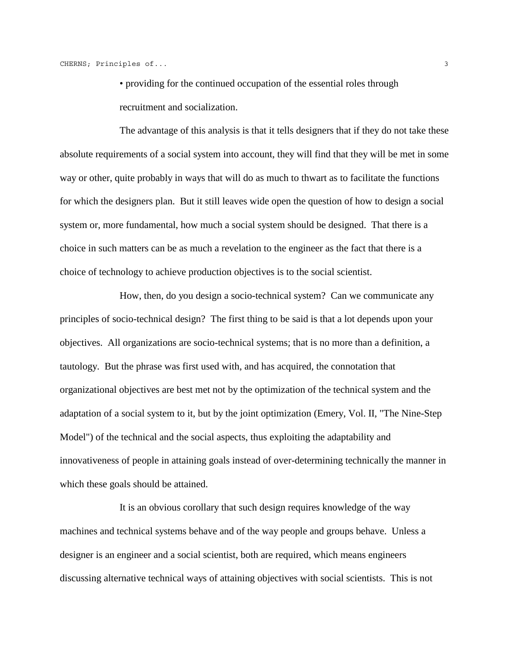• providing for the continued occupation of the essential roles through recruitment and socialization.

The advantage of this analysis is that it tells designers that if they do not take these absolute requirements of a social system into account, they will find that they will be met in some way or other, quite probably in ways that will do as much to thwart as to facilitate the functions for which the designers plan. But it still leaves wide open the question of how to design a social system or, more fundamental, how much a social system should be designed. That there is a choice in such matters can be as much a revelation to the engineer as the fact that there is a choice of technology to achieve production objectives is to the social scientist.

How, then, do you design a socio-technical system? Can we communicate any principles of socio-technical design? The first thing to be said is that a lot depends upon your objectives. All organizations are socio-technical systems; that is no more than a definition, a tautology. But the phrase was first used with, and has acquired, the connotation that organizational objectives are best met not by the optimization of the technical system and the adaptation of a social system to it, but by the joint optimization (Emery, Vol. II, "The Nine-Step Model") of the technical and the social aspects, thus exploiting the adaptability and innovativeness of people in attaining goals instead of over-determining technically the manner in which these goals should be attained.

It is an obvious corollary that such design requires knowledge of the way machines and technical systems behave and of the way people and groups behave. Unless a designer is an engineer and a social scientist, both are required, which means engineers discussing alternative technical ways of attaining objectives with social scientists. This is not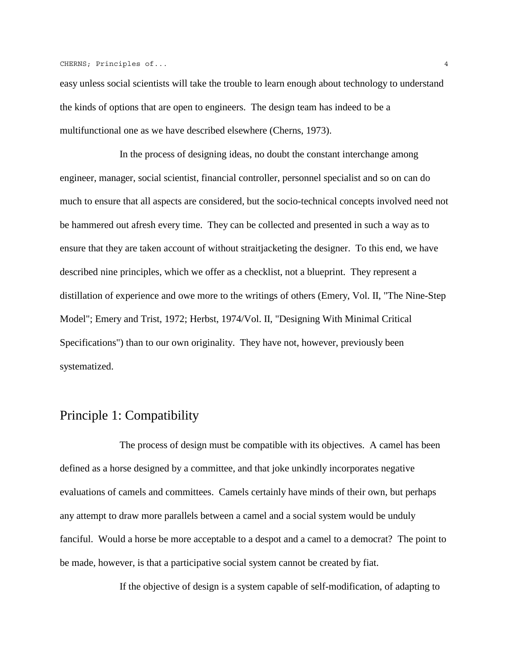easy unless social scientists will take the trouble to learn enough about technology to understand the kinds of options that are open to engineers. The design team has indeed to be a multifunctional one as we have described elsewhere (Cherns, 1973).

In the process of designing ideas, no doubt the constant interchange among engineer, manager, social scientist, financial controller, personnel specialist and so on can do much to ensure that all aspects are considered, but the socio-technical concepts involved need not be hammered out afresh every time. They can be collected and presented in such a way as to ensure that they are taken account of without straitjacketing the designer. To this end, we have described nine principles, which we offer as a checklist, not a blueprint. They represent a distillation of experience and owe more to the writings of others (Emery, Vol. II, "The Nine-Step Model"; Emery and Trist, 1972; Herbst, 1974/Vol. II, "Designing With Minimal Critical Specifications") than to our own originality. They have not, however, previously been systematized.

## Principle 1: Compatibility

The process of design must be compatible with its objectives. A camel has been defined as a horse designed by a committee, and that joke unkindly incorporates negative evaluations of camels and committees. Camels certainly have minds of their own, but perhaps any attempt to draw more parallels between a camel and a social system would be unduly fanciful. Would a horse be more acceptable to a despot and a camel to a democrat? The point to be made, however, is that a participative social system cannot be created by fiat.

If the objective of design is a system capable of self-modification, of adapting to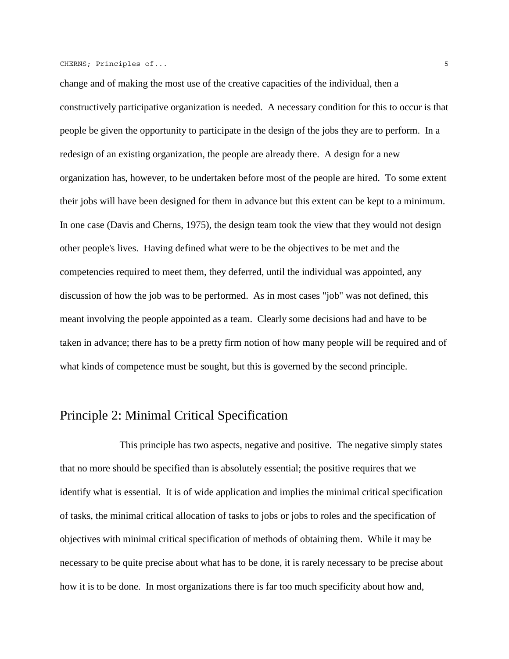change and of making the most use of the creative capacities of the individual, then a constructively participative organization is needed. A necessary condition for this to occur is that people be given the opportunity to participate in the design of the jobs they are to perform. In a redesign of an existing organization, the people are already there. A design for a new organization has, however, to be undertaken before most of the people are hired. To some extent their jobs will have been designed for them in advance but this extent can be kept to a minimum. In one case (Davis and Cherns, 1975), the design team took the view that they would not design other people's lives. Having defined what were to be the objectives to be met and the competencies required to meet them, they deferred, until the individual was appointed, any discussion of how the job was to be performed. As in most cases "job" was not defined, this meant involving the people appointed as a team. Clearly some decisions had and have to be taken in advance; there has to be a pretty firm notion of how many people will be required and of what kinds of competence must be sought, but this is governed by the second principle.

## Principle 2: Minimal Critical Specification

This principle has two aspects, negative and positive. The negative simply states that no more should be specified than is absolutely essential; the positive requires that we identify what is essential. It is of wide application and implies the minimal critical specification of tasks, the minimal critical allocation of tasks to jobs or jobs to roles and the specification of objectives with minimal critical specification of methods of obtaining them. While it may be necessary to be quite precise about what has to be done, it is rarely necessary to be precise about how it is to be done. In most organizations there is far too much specificity about how and,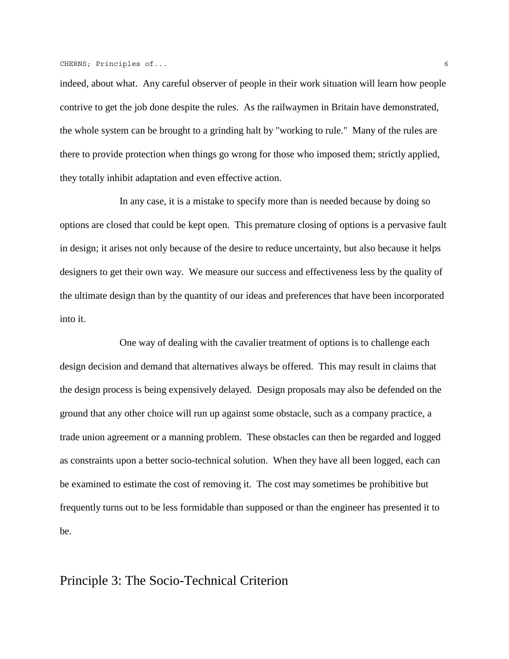indeed, about what. Any careful observer of people in their work situation will learn how people contrive to get the job done despite the rules. As the railwaymen in Britain have demonstrated, the whole system can be brought to a grinding halt by "working to rule." Many of the rules are there to provide protection when things go wrong for those who imposed them; strictly applied, they totally inhibit adaptation and even effective action.

In any case, it is a mistake to specify more than is needed because by doing so options are closed that could be kept open. This premature closing of options is a pervasive fault in design; it arises not only because of the desire to reduce uncertainty, but also because it helps designers to get their own way. We measure our success and effectiveness less by the quality of the ultimate design than by the quantity of our ideas and preferences that have been incorporated into it.

One way of dealing with the cavalier treatment of options is to challenge each design decision and demand that alternatives always be offered. This may result in claims that the design process is being expensively delayed. Design proposals may also be defended on the ground that any other choice will run up against some obstacle, such as a company practice, a trade union agreement or a manning problem. These obstacles can then be regarded and logged as constraints upon a better socio-technical solution. When they have all been logged, each can be examined to estimate the cost of removing it. The cost may sometimes be prohibitive but frequently turns out to be less formidable than supposed or than the engineer has presented it to be.

#### Principle 3: The Socio-Technical Criterion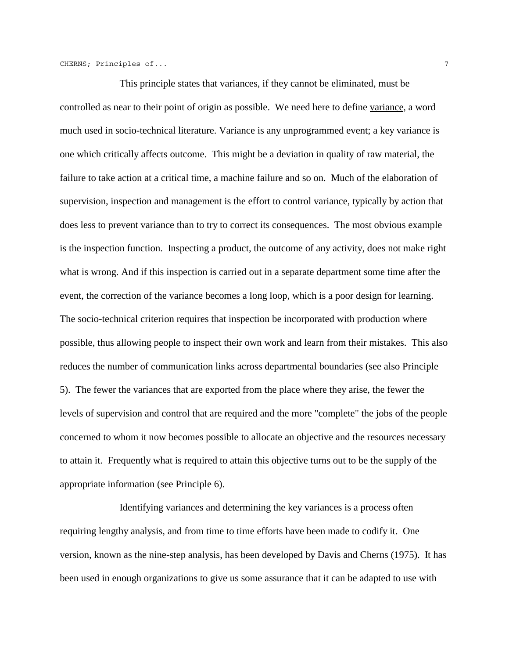This principle states that variances, if they cannot be eliminated, must be controlled as near to their point of origin as possible. We need here to define variance, a word much used in socio-technical literature. Variance is any unprogrammed event; a key variance is one which critically affects outcome. This might be a deviation in quality of raw material, the failure to take action at a critical time, a machine failure and so on. Much of the elaboration of supervision, inspection and management is the effort to control variance, typically by action that does less to prevent variance than to try to correct its consequences. The most obvious example is the inspection function. Inspecting a product, the outcome of any activity, does not make right what is wrong. And if this inspection is carried out in a separate department some time after the event, the correction of the variance becomes a long loop, which is a poor design for learning. The socio-technical criterion requires that inspection be incorporated with production where possible, thus allowing people to inspect their own work and learn from their mistakes. This also reduces the number of communication links across departmental boundaries (see also Principle 5). The fewer the variances that are exported from the place where they arise, the fewer the levels of supervision and control that are required and the more "complete" the jobs of the people concerned to whom it now becomes possible to allocate an objective and the resources necessary to attain it. Frequently what is required to attain this objective turns out to be the supply of the appropriate information (see Principle 6).

Identifying variances and determining the key variances is a process often requiring lengthy analysis, and from time to time efforts have been made to codify it. One version, known as the nine-step analysis, has been developed by Davis and Cherns (1975). It has been used in enough organizations to give us some assurance that it can be adapted to use with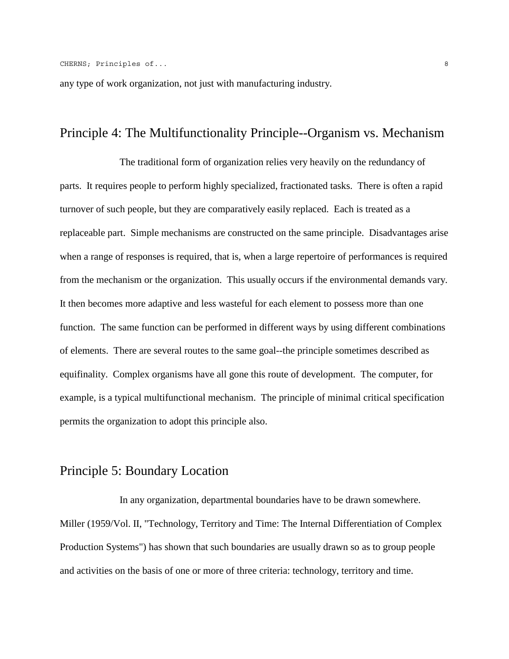any type of work organization, not just with manufacturing industry.

#### Principle 4: The Multifunctionality Principle--Organism vs. Mechanism

The traditional form of organization relies very heavily on the redundancy of parts. It requires people to perform highly specialized, fractionated tasks. There is often a rapid turnover of such people, but they are comparatively easily replaced. Each is treated as a replaceable part. Simple mechanisms are constructed on the same principle. Disadvantages arise when a range of responses is required, that is, when a large repertoire of performances is required from the mechanism or the organization. This usually occurs if the environmental demands vary. It then becomes more adaptive and less wasteful for each element to possess more than one function. The same function can be performed in different ways by using different combinations of elements. There are several routes to the same goal--the principle sometimes described as equifinality. Complex organisms have all gone this route of development. The computer, for example, is a typical multifunctional mechanism. The principle of minimal critical specification permits the organization to adopt this principle also.

#### Principle 5: Boundary Location

In any organization, departmental boundaries have to be drawn somewhere. Miller (1959/Vol. II, "Technology, Territory and Time: The Internal Differentiation of Complex Production Systems") has shown that such boundaries are usually drawn so as to group people and activities on the basis of one or more of three criteria: technology, territory and time.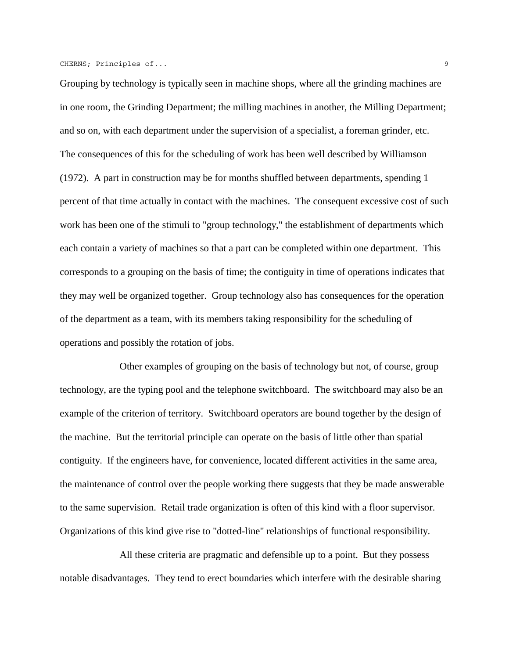Grouping by technology is typically seen in machine shops, where all the grinding machines are in one room, the Grinding Department; the milling machines in another, the Milling Department; and so on, with each department under the supervision of a specialist, a foreman grinder, etc. The consequences of this for the scheduling of work has been well described by Williamson (1972). A part in construction may be for months shuffled between departments, spending 1 percent of that time actually in contact with the machines. The consequent excessive cost of such work has been one of the stimuli to "group technology," the establishment of departments which each contain a variety of machines so that a part can be completed within one department. This corresponds to a grouping on the basis of time; the contiguity in time of operations indicates that they may well be organized together. Group technology also has consequences for the operation of the department as a team, with its members taking responsibility for the scheduling of operations and possibly the rotation of jobs.

Other examples of grouping on the basis of technology but not, of course, group technology, are the typing pool and the telephone switchboard. The switchboard may also be an example of the criterion of territory. Switchboard operators are bound together by the design of the machine. But the territorial principle can operate on the basis of little other than spatial contiguity. If the engineers have, for convenience, located different activities in the same area, the maintenance of control over the people working there suggests that they be made answerable to the same supervision. Retail trade organization is often of this kind with a floor supervisor. Organizations of this kind give rise to "dotted-line" relationships of functional responsibility.

All these criteria are pragmatic and defensible up to a point. But they possess notable disadvantages. They tend to erect boundaries which interfere with the desirable sharing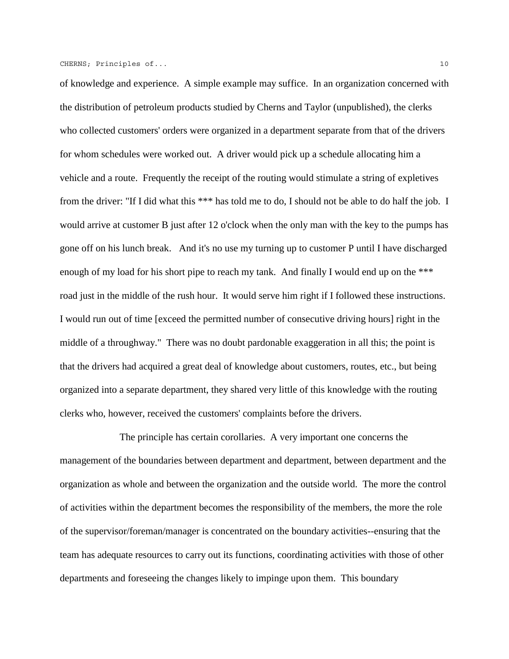of knowledge and experience. A simple example may suffice. In an organization concerned with the distribution of petroleum products studied by Cherns and Taylor (unpublished), the clerks who collected customers' orders were organized in a department separate from that of the drivers for whom schedules were worked out. A driver would pick up a schedule allocating him a vehicle and a route. Frequently the receipt of the routing would stimulate a string of expletives from the driver: "If I did what this \*\*\* has told me to do, I should not be able to do half the job. I would arrive at customer B just after 12 o'clock when the only man with the key to the pumps has gone off on his lunch break. And it's no use my turning up to customer P until I have discharged enough of my load for his short pipe to reach my tank. And finally I would end up on the \*\*\* road just in the middle of the rush hour. It would serve him right if I followed these instructions. I would run out of time [exceed the permitted number of consecutive driving hours] right in the middle of a throughway." There was no doubt pardonable exaggeration in all this; the point is that the drivers had acquired a great deal of knowledge about customers, routes, etc., but being organized into a separate department, they shared very little of this knowledge with the routing clerks who, however, received the customers' complaints before the drivers.

The principle has certain corollaries. A very important one concerns the management of the boundaries between department and department, between department and the organization as whole and between the organization and the outside world. The more the control of activities within the department becomes the responsibility of the members, the more the role of the supervisor/foreman/manager is concentrated on the boundary activities--ensuring that the team has adequate resources to carry out its functions, coordinating activities with those of other departments and foreseeing the changes likely to impinge upon them. This boundary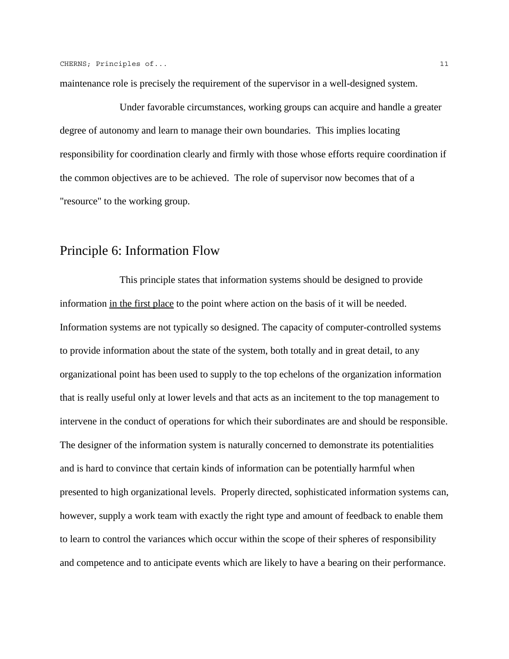maintenance role is precisely the requirement of the supervisor in a well-designed system.

Under favorable circumstances, working groups can acquire and handle a greater degree of autonomy and learn to manage their own boundaries. This implies locating responsibility for coordination clearly and firmly with those whose efforts require coordination if the common objectives are to be achieved. The role of supervisor now becomes that of a "resource" to the working group.

#### Principle 6: Information Flow

This principle states that information systems should be designed to provide information in the first place to the point where action on the basis of it will be needed. Information systems are not typically so designed. The capacity of computer-controlled systems to provide information about the state of the system, both totally and in great detail, to any organizational point has been used to supply to the top echelons of the organization information that is really useful only at lower levels and that acts as an incitement to the top management to intervene in the conduct of operations for which their subordinates are and should be responsible. The designer of the information system is naturally concerned to demonstrate its potentialities and is hard to convince that certain kinds of information can be potentially harmful when presented to high organizational levels. Properly directed, sophisticated information systems can, however, supply a work team with exactly the right type and amount of feedback to enable them to learn to control the variances which occur within the scope of their spheres of responsibility and competence and to anticipate events which are likely to have a bearing on their performance.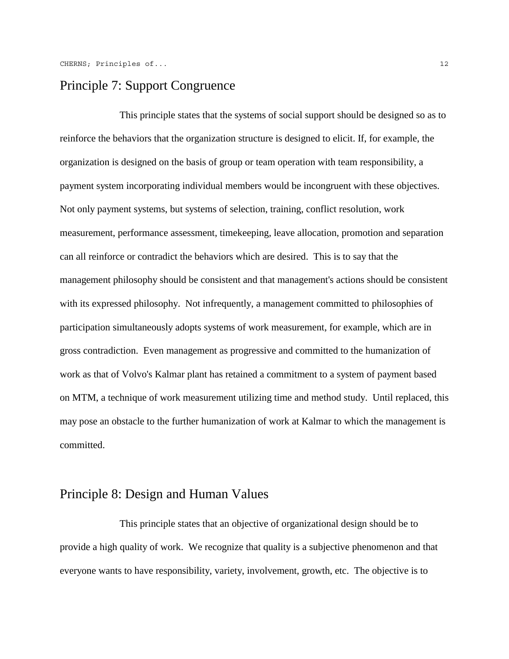## Principle 7: Support Congruence

This principle states that the systems of social support should be designed so as to reinforce the behaviors that the organization structure is designed to elicit. If, for example, the organization is designed on the basis of group or team operation with team responsibility, a payment system incorporating individual members would be incongruent with these objectives. Not only payment systems, but systems of selection, training, conflict resolution, work measurement, performance assessment, timekeeping, leave allocation, promotion and separation can all reinforce or contradict the behaviors which are desired. This is to say that the management philosophy should be consistent and that management's actions should be consistent with its expressed philosophy. Not infrequently, a management committed to philosophies of participation simultaneously adopts systems of work measurement, for example, which are in gross contradiction. Even management as progressive and committed to the humanization of work as that of Volvo's Kalmar plant has retained a commitment to a system of payment based on MTM, a technique of work measurement utilizing time and method study. Until replaced, this may pose an obstacle to the further humanization of work at Kalmar to which the management is committed.

#### Principle 8: Design and Human Values

This principle states that an objective of organizational design should be to provide a high quality of work. We recognize that quality is a subjective phenomenon and that everyone wants to have responsibility, variety, involvement, growth, etc. The objective is to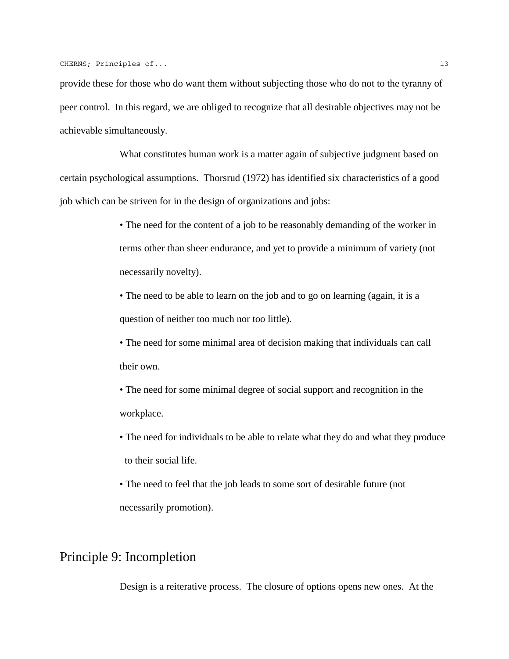provide these for those who do want them without subjecting those who do not to the tyranny of peer control. In this regard, we are obliged to recognize that all desirable objectives may not be achievable simultaneously.

What constitutes human work is a matter again of subjective judgment based on certain psychological assumptions. Thorsrud (1972) has identified six characteristics of a good job which can be striven for in the design of organizations and jobs:

> • The need for the content of a job to be reasonably demanding of the worker in terms other than sheer endurance, and yet to provide a minimum of variety (not necessarily novelty).

• The need to be able to learn on the job and to go on learning (again, it is a question of neither too much nor too little).

• The need for some minimal area of decision making that individuals can call their own.

• The need for some minimal degree of social support and recognition in the workplace.

• The need for individuals to be able to relate what they do and what they produce to their social life.

• The need to feel that the job leads to some sort of desirable future (not necessarily promotion).

## Principle 9: Incompletion

Design is a reiterative process. The closure of options opens new ones. At the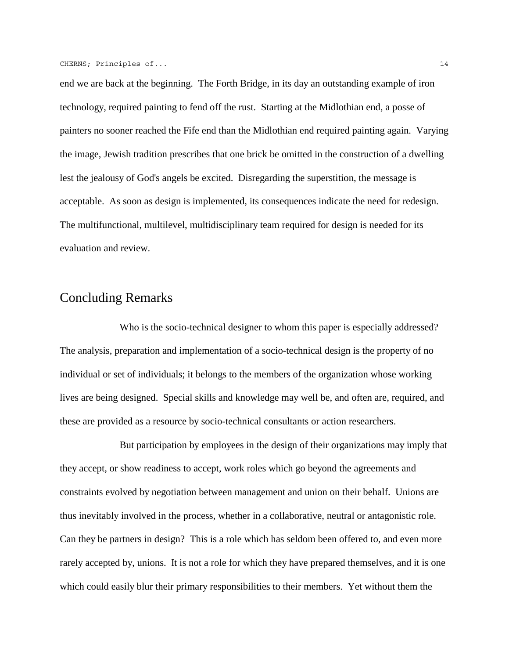end we are back at the beginning. The Forth Bridge, in its day an outstanding example of iron technology, required painting to fend off the rust. Starting at the Midlothian end, a posse of painters no sooner reached the Fife end than the Midlothian end required painting again. Varying the image, Jewish tradition prescribes that one brick be omitted in the construction of a dwelling lest the jealousy of God's angels be excited. Disregarding the superstition, the message is acceptable. As soon as design is implemented, its consequences indicate the need for redesign. The multifunctional, multilevel, multidisciplinary team required for design is needed for its evaluation and review.

#### Concluding Remarks

Who is the socio-technical designer to whom this paper is especially addressed? The analysis, preparation and implementation of a socio-technical design is the property of no individual or set of individuals; it belongs to the members of the organization whose working lives are being designed. Special skills and knowledge may well be, and often are, required, and these are provided as a resource by socio-technical consultants or action researchers.

But participation by employees in the design of their organizations may imply that they accept, or show readiness to accept, work roles which go beyond the agreements and constraints evolved by negotiation between management and union on their behalf. Unions are thus inevitably involved in the process, whether in a collaborative, neutral or antagonistic role. Can they be partners in design? This is a role which has seldom been offered to, and even more rarely accepted by, unions. It is not a role for which they have prepared themselves, and it is one which could easily blur their primary responsibilities to their members. Yet without them the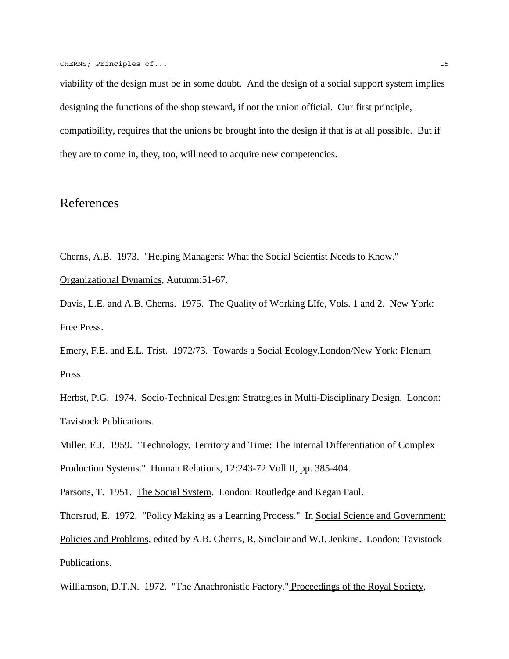viability of the design must be in some doubt. And the design of a social support system implies designing the functions of the shop steward, if not the union official. Our first principle, compatibility, requires that the unions be brought into the design if that is at all possible. But if they are to come in, they, too, will need to acquire new competencies.

### References

Cherns, A.B. 1973. "Helping Managers: What the Social Scientist Needs to Know." Organizational Dynamics, Autumn:51-67.

Davis, L.E. and A.B. Cherns. 1975. The Quality of Working LIfe, Vols. 1 and 2. New York: Free Press.

Emery, F.E. and E.L. Trist. 1972/73. Towards a Social Ecology.London/New York: Plenum Press.

Herbst, P.G. 1974. Socio-Technical Design: Strategies in Multi-Disciplinary Design. London: Tavistock Publications.

Miller, E.J. 1959. "Technology, Territory and Time: The Internal Differentiation of Complex Production Systems." Human Relations, 12:243-72 Voll II, pp. 385-404.

Parsons, T. 1951. The Social System. London: Routledge and Kegan Paul.

Thorsrud, E. 1972. "Policy Making as a Learning Process." In Social Science and Government:

Policies and Problems, edited by A.B. Cherns, R. Sinclair and W.I. Jenkins. London: Tavistock Publications.

Williamson, D.T.N. 1972. "The Anachronistic Factory." Proceedings of the Royal Society,